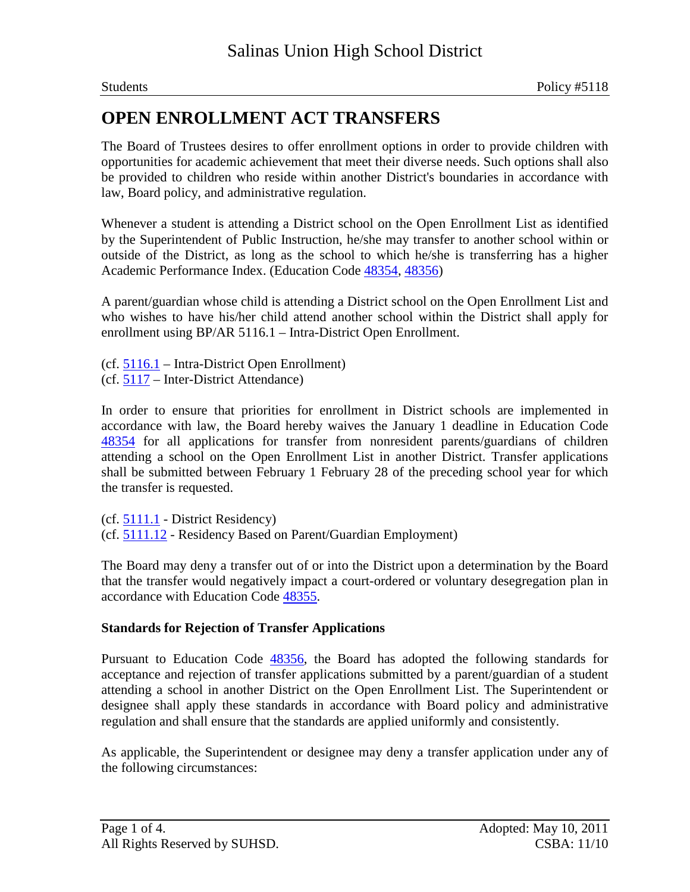The Board of Trustees desires to offer enrollment options in order to provide children with opportunities for academic achievement that meet their diverse needs. Such options shall also be provided to children who reside within another District's boundaries in accordance with law, Board policy, and administrative regulation.

Whenever a student is attending a District school on the Open Enrollment List as identified by the Superintendent of Public Instruction, he/she may transfer to another school within or outside of the District, as long as the school to which he/she is transferring has a higher Academic Performance Index. (Education Code 48354, 48356)

A parent/guardian whose child is attending a District school on the Open Enrollment List and who wishes to have his/her child attend another school within the District shall apply for enrollment using BP/AR 5116.1 – Intra-District Open Enrollment.

(cf. 5116.1 – Intra-District Open Enrollment)

(cf. 5117 – Inter-District Attendance)

In order to ensure that priorities for enrollment in District schools are implemented in accordance with law, the Board hereby waives the January 1 deadline in Education Code 48354 for all applications for transfer from nonresident parents/guardians of children attending a school on the Open Enrollment List in another District. Transfer applications shall be submitted between February 1 February 28 of the preceding school year for which the transfer is requested.

(cf. 5111.1 - District Residency) (cf. 5111.12 - Residency Based on Parent/Guardian Employment)

The Board may deny a transfer out of or into the District upon a determination by the Board that the transfer would negatively impact a court-ordered or voluntary desegregation plan in accordance with Education Code 48355.

## **Standards for Rejection of Transfer Applications**

Pursuant to Education Code 48356, the Board has adopted the following standards for acceptance and rejection of transfer applications submitted by a parent/guardian of a student attending a school in another District on the Open Enrollment List. The Superintendent or designee shall apply these standards in accordance with Board policy and administrative regulation and shall ensure that the standards are applied uniformly and consistently.

As applicable, the Superintendent or designee may deny a transfer application under any of the following circumstances: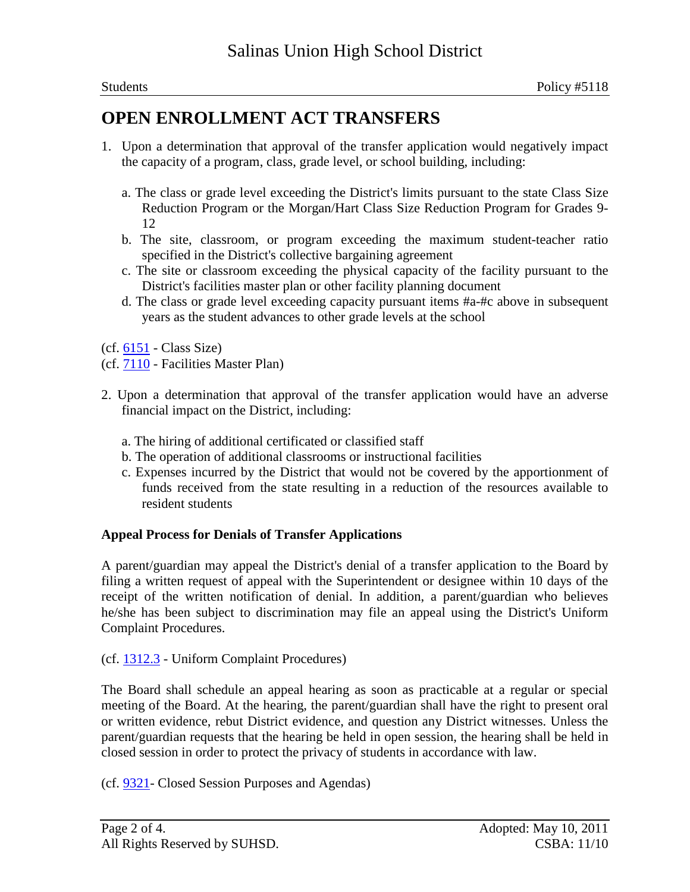- 1. Upon a determination that approval of the transfer application would negatively impact the capacity of a program, class, grade level, or school building, including:
	- a. The class or grade level exceeding the District's limits pursuant to the state Class Size Reduction Program or the Morgan/Hart Class Size Reduction Program for Grades 9- 12
	- b. The site, classroom, or program exceeding the maximum student-teacher ratio specified in the District's collective bargaining agreement
	- c. The site or classroom exceeding the physical capacity of the facility pursuant to the District's facilities master plan or other facility planning document
	- d. The class or grade level exceeding capacity pursuant items #a-#c above in subsequent years as the student advances to other grade levels at the school
- (cf. 6151 Class Size)
- (cf. 7110 Facilities Master Plan)
- 2. Upon a determination that approval of the transfer application would have an adverse financial impact on the District, including:
	- a. The hiring of additional certificated or classified staff
	- b. The operation of additional classrooms or instructional facilities
	- c. Expenses incurred by the District that would not be covered by the apportionment of funds received from the state resulting in a reduction of the resources available to resident students

### **Appeal Process for Denials of Transfer Applications**

A parent/guardian may appeal the District's denial of a transfer application to the Board by filing a written request of appeal with the Superintendent or designee within 10 days of the receipt of the written notification of denial. In addition, a parent/guardian who believes he/she has been subject to discrimination may file an appeal using the District's Uniform Complaint Procedures.

### (cf. 1312.3 - Uniform Complaint Procedures)

The Board shall schedule an appeal hearing as soon as practicable at a regular or special meeting of the Board. At the hearing, the parent/guardian shall have the right to present oral or written evidence, rebut District evidence, and question any District witnesses. Unless the parent/guardian requests that the hearing be held in open session, the hearing shall be held in closed session in order to protect the privacy of students in accordance with law.

(cf. 9321- Closed Session Purposes and Agendas)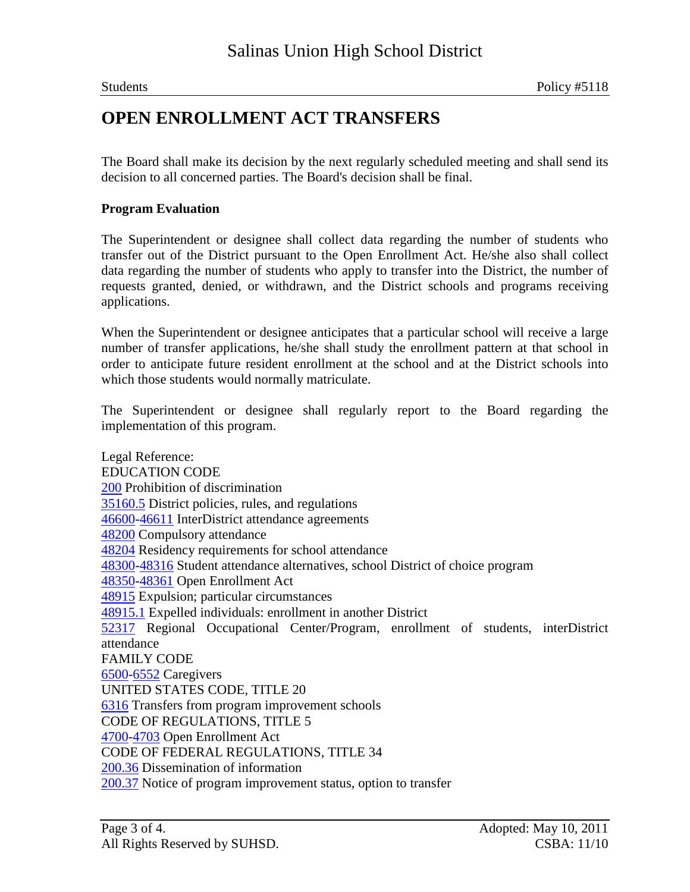The Board shall make its decision by the next regularly scheduled meeting and shall send its decision to all concerned parties. The Board's decision shall be final.

#### **Program Evaluation**

The Superintendent or designee shall collect data regarding the number of students who transfer out of the District pursuant to the Open Enrollment Act. He/she also shall collect data regarding the number of students who apply to transfer into the District, the number of requests granted, denied, or withdrawn, and the District schools and programs receiving applications.

When the Superintendent or designee anticipates that a particular school will receive a large number of transfer applications, he/she shall study the enrollment pattern at that school in order to anticipate future resident enrollment at the school and at the District schools into which those students would normally matriculate.

The Superintendent or designee shall regularly report to the Board regarding the implementation of this program.

Legal Reference: EDUCATION CODE 200 Prohibition of discrimination 35160.5 District policies, rules, and regulations 46600-46611 InterDistrict attendance agreements 48200 Compulsory attendance 48204 Residency requirements for school attendance 48300-48316 Student attendance alternatives, school District of choice program 48350-48361 Open Enrollment Act 48915 Expulsion; particular circumstances 48915.1 Expelled individuals: enrollment in another District 52317 Regional Occupational Center/Program, enrollment of students, interDistrict attendance FAMILY CODE 6500-6552 Caregivers UNITED STATES CODE, TITLE 20 6316 Transfers from program improvement schools CODE OF REGULATIONS, TITLE 5 4700-4703 Open Enrollment Act CODE OF FEDERAL REGULATIONS, TITLE 34 200.36 Dissemination of information 200.37 Notice of program improvement status, option to transfer